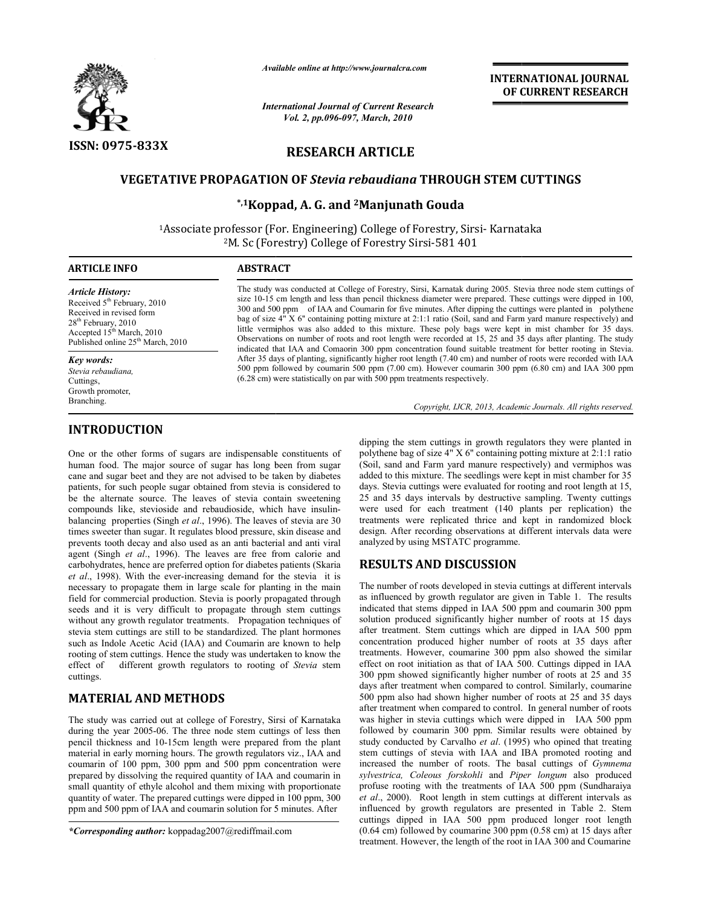

*Available online at http://www.journalcra.com*

*International Journal of Current Research Vol. 2, pp.096-097, March, 2010* 

## **INTERNATIONAL INTERNATIONAL JOURNAL OF CURRENT RESEARCH**

# **RESEARCH ARTICLE**

## **VEGETATIVE PROPAGATION OF**  *Stevia rebaudiana* **THROUGH STEM CUTTINGS**

## **\*,1Koppad Koppad, A. G. and 2Manjunath Gouda**

<sup>1</sup>Associate professor (For. Engineering) College of Forestry, Sirsi- Karnataka <sup>2</sup>M. Sc (Forestry) College of Forestry Sirsi-581 401

#### **ARTICLE INFO ABSTRACT**

*Article History:* Received 5<sup>th</sup> February, 2010 Received in revised form 28<sup>th</sup> February, 2010 Accepted  $15<sup>th</sup> March, 2010$ Published online 25<sup>th</sup> March, 2010

*Key words:*

*Stevia rebaudiana,*  Cuttings, Growth promoter, Branching.

### **INTRODUCTION**

One or the other forms of sugars are indispensable constituents of human food. The major source of sugar has long been from sugar cane and sugar beet and they are not advised to be taken by diabetes patients, for such people sugar obtained from stevia is considered to be the alternate source. The leaves of stevia contain sweetening cane and sugar beet and they are not advised to be taken by diabetes<br>patients, for such people sugar obtained from stevia is considered to<br>be the alternate source. The leaves of stevia contain sweetening<br>compounds like, st balancing properties (Singh *et al*., 1996). The leaves of stevia are 30 times sweeter than sugar. It regulates blood pressure, skin disease and prevents tooth decay and also used as an anti bacterial and anti viral agent (Singh *et al*., 1996). The leaves are free from calorie and carbohydrates, hence are preferred option for diabetes patients (Skaria *et al*., 1998). With the ever-increasing demand for the stevia necessary to propagate them in large scale for planting in the main field for commercial production. Stevia is poorly propagated through seeds and it is very difficult to propagate through stem cuttings without any growth regulator treatments. Propagation techniques of stevia stem cuttings are still to be standardized. The plant hormones such as Indole Acetic Acid (IAA) and Coumarin are known to help rooting of stem cuttings. Hence the study was undertaken to know the effect of different growth regulators to rooting of *Stevia* stem cuttings. *et al.*, 1996). The leaves are free from calorie and hence are preferred option for diabetes patients (Skaria With the ever-increasing demand for the stevia it is in field for commercial production. Stevia is poorly propagated through seeds and it is very difficult to propagate through stem cuttings without any growth regulator treatments. Propagation techniques of stevia stem cutti

## **MATERIAL AND METHODS**

The study was carried out at college of Forestry, Sirsi of Karnataka during the year 2005-06. The three node stem cuttings of less then pencil thickness and 10-15cm length were prepared from the plant material in early morning hours. The growth regulators viz., IAA and coumarin of 100 ppm, 300 ppm and 500 ppm concentration were prepared by dissolving the required quantity of IAA and coumarin in small quantity of ethyle alcohol and them mixing with proportionate quantity of water. The prepared cuttings were dipped in 100 ppm, 300 ppm and 500 ppm of IAA and coumarin solution for 5 minutes. After

The study was conducted at College of Forestry, Sirsi, Karnatak during 2005. Stevia three node stem cuttings of size 10-15 cm length and less than pencil thickness diameter were prepared. These cuttings were dipped in 100, size 10-15 cm length and less than pencil thickness diameter were prepared. These cuttings were dipped in 100,<br>300 and 500 ppm of IAA and Coumarin for five minutes. After dipping the cuttings were planted in polythene bag of size 4" X 6" containing potting mixture at 2:1:1 ratio (Soil, sand and Farm yard manure respectively) and little vermiphos was also added to this mixture. These poly bags were kept in mist chamber for 35 days. Observations on number of roots and root length were recorded at 15, 25 and 35 days after planting. The study indicated that IAA and Comaorin 300 ppm concentration found suitable treatment for better rooting in Stevia. After 35 days of planting, significantly higher root length (7.40 cm) and number of roots were recorded with IAA 500 ppm followed by coumarin 500 ppm (7.00 cm). However coumarin 300 ppm (6.80 cm) and IAA 300 ppm  $(6.28 \text{ cm})$  were statistically on par with 500 ppm treatments respectively. servations on number of roots and root length were recorded at 15, 25 and 35 days after planting. The licated that IAA and Comaorin 300 ppm concentration found suitable treatment for better rooting in S<br>ter 35 days of plan blege of Forestry, Sirsi, Karnatak during 2005. Stevia three node stem c<br>than pencil thickness diameter were prepared. These cuttings were dipped<br>Coumarin for five minutes. After dipping the cuttings were planted in<br>pottin

Copyright, IJCR, 2013, Academic Journals. All rights reserved.

polythene bag of size 4" X 6'' containing potting mixture at 2:1:1 ratio (Soil, sand and Farm yard manure respectively) and vermiphos was added to this mixture. The seedlings were kept in mist chamber for 35 days. Stevia cuttings were evaluated for rooting and root length at 15, 25 and 35 days intervals by destructive sampling. Twenty cuttings were used for each treatment (140 plants per replication) the treatments were replicated thrice and kept in randomized block design. After recording observations at different intervals data were analyzed by using MSTATC programme. is the stem cuttings in growth regulators they were planted in the bag of size 4" X 6" containing potting mixture at 2:1:1 ratio in 35 intervals mixture. The seedlings were kept in mist chamber for 35 intervals by destruct

#### **RESULTS AND DISCUSSION**

One or the other forms of sugars are indispensable constituents of phylonis by seven contration by an anomy concerned and anomy concerned separation by a more of the main form and in growth regulators (Society) and wearbo The number of roots developed in stevia cuttings at different intervals as influenced by growth regulator are given in Table 1. The results indicated that stems dipped in IAA 500 ppm and coumarin 300 ppm solution produced significantly higher number of roots at 15 days indicated that stems dipped in IAA 500 ppm and coumarin 300 ppm<br>solution produced significantly higher number of roots at 15 days<br>after treatment. Stem cuttings which are dipped in IAA 500 ppm concentration produced higher number of roots at 35 days after treatments. However, coumarine 300 ppm also showed the similar effect on root initiation as that of IAA 500. Cuttings dipped in IAA concentration produced higher number of roots at 35 days after treatments. However, coumarine 300 ppm also showed the similar effect on root initiation as that of IAA 500. Cuttings dipped in IAA 300 ppm showed significantl days after treatment when compared to control. Similarly, coumarine 500 ppm also had shown higher number of roots at 25 and 35 days after treatment when compared to control. In general number of roots was higher in stevia cuttings which were dipped in IAA 500 ppm followed by coumarin 300 ppm. Similar results were obtained by study conducted by Carvalho *et al*. (1995) who opined that treating stem cuttings of stevia with IAA and IBA promoted rooting and increased the number of roots. The basal cuttings of Gymnema *sylvestrica, Coleous forskohli* and *Piper longum* also produced profuse rooting with the treatments of IAA 500 ppm (Sundharaiya *et al*., 2000). Root length in stem cuttings at different intervals as profuse rooting with the treatments of IAA 500 ppm (Sundharaiya *et al.*, 2000). Root length in stem cuttings at different intervals as influenced by growth regulators are presented in Table 2. Stem cuttings dipped in IAA 500 ppm produced longer root length (0.64 cm) followed by coumarine 300 ppm (0.58 cm) at 15 days after treatment. However, the length of the root in IAA 300 and Coumarine days after treatment when compared to control. Similarly, coumarine 500 ppm also had shown higher number of roots at 25 and 35 days<br>after treatment when compared to control. In general number of roots coumarin 300 ppm. Similar results were obtained by ted by Carvalho *et al.* (1995) who opined that treating of stevia with IAA and IBA promoted rooting and *mumber* of roots. The basal cuttings of *Gymnema* **INTERNATIONAL JOURNAL (Secure 1)**<br> **INTERNATIONAL JOURNAL Conservation**<br> **IDENTIFY (SECURENT RESEARCH)**<br> **IDENTIFY (SECURENT RESEARCH)**<br> **IDENTIFY (SECURENT RESEARCH)**<br> **IDENTIFY (SECURENT RESEARCH)**<br> **IDENTIFY (SECURENT** 

*<sup>\*</sup>Corresponding author:* koppadag2007@rediffmail.com